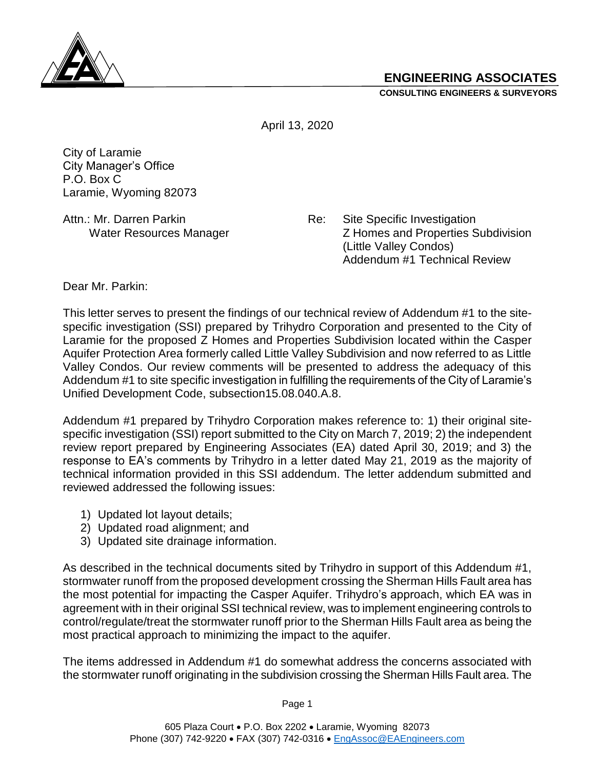

**CONSULTING ENGINEERS & SURVEYORS**



April 13, 2020

City of Laramie City Manager's Office P.O. Box C Laramie, Wyoming 82073

Attn.: Mr. Darren Parkin **Re:** Site Specific Investigation Water Resources Manager **Z** Homes and Properties Subdivision (Little Valley Condos) Addendum #1 Technical Review

Dear Mr. Parkin:

This letter serves to present the findings of our technical review of Addendum #1 to the sitespecific investigation (SSI) prepared by Trihydro Corporation and presented to the City of Laramie for the proposed Z Homes and Properties Subdivision located within the Casper Aquifer Protection Area formerly called Little Valley Subdivision and now referred to as Little Valley Condos. Our review comments will be presented to address the adequacy of this Addendum #1 to site specific investigation in fulfilling the requirements of the City of Laramie's Unified Development Code, subsection15.08.040.A.8.

Addendum #1 prepared by Trihydro Corporation makes reference to: 1) their original sitespecific investigation (SSI) report submitted to the City on March 7, 2019; 2) the independent review report prepared by Engineering Associates (EA) dated April 30, 2019; and 3) the response to EA's comments by Trihydro in a letter dated May 21, 2019 as the majority of technical information provided in this SSI addendum. The letter addendum submitted and reviewed addressed the following issues:

- 1) Updated lot layout details;
- 2) Updated road alignment; and
- 3) Updated site drainage information.

As described in the technical documents sited by Trihydro in support of this Addendum #1, stormwater runoff from the proposed development crossing the Sherman Hills Fault area has the most potential for impacting the Casper Aquifer. Trihydro's approach, which EA was in agreement with in their original SSI technical review, was to implement engineering controls to control/regulate/treat the stormwater runoff prior to the Sherman Hills Fault area as being the most practical approach to minimizing the impact to the aquifer.

The items addressed in Addendum #1 do somewhat address the concerns associated with the stormwater runoff originating in the subdivision crossing the Sherman Hills Fault area. The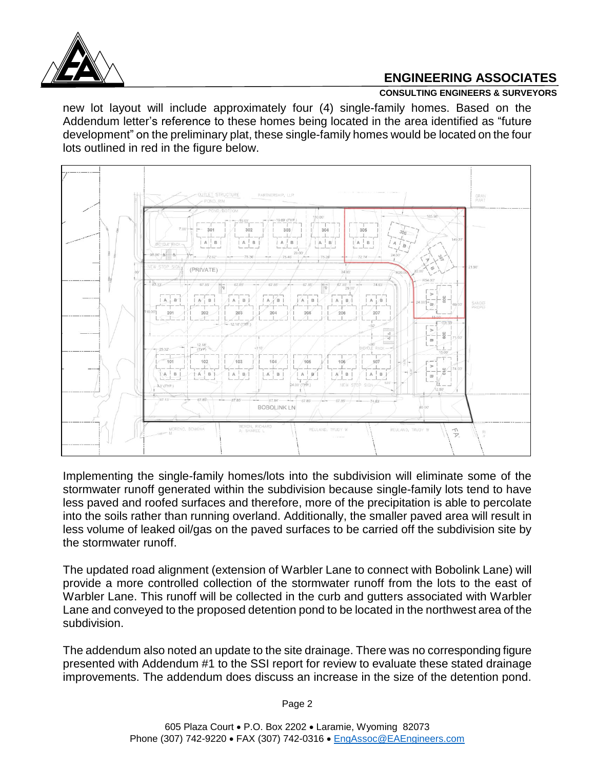

## **ENGINEERING ASSOCIATES**

## **CONSULTING ENGINEERS & SURVEYORS**

new lot layout will include approximately four (4) single-family homes. Based on the Addendum letter's reference to these homes being located in the area identified as "future development" on the preliminary plat, these single-family homes would be located on the four lots outlined in red in the figure below.



Implementing the single-family homes/lots into the subdivision will eliminate some of the stormwater runoff generated within the subdivision because single-family lots tend to have less paved and roofed surfaces and therefore, more of the precipitation is able to percolate into the soils rather than running overland. Additionally, the smaller paved area will result in less volume of leaked oil/gas on the paved surfaces to be carried off the subdivision site by the stormwater runoff.

The updated road alignment (extension of Warbler Lane to connect with Bobolink Lane) will provide a more controlled collection of the stormwater runoff from the lots to the east of Warbler Lane. This runoff will be collected in the curb and gutters associated with Warbler Lane and conveyed to the proposed detention pond to be located in the northwest area of the subdivision.

The addendum also noted an update to the site drainage. There was no corresponding figure presented with Addendum #1 to the SSI report for review to evaluate these stated drainage improvements. The addendum does discuss an increase in the size of the detention pond.